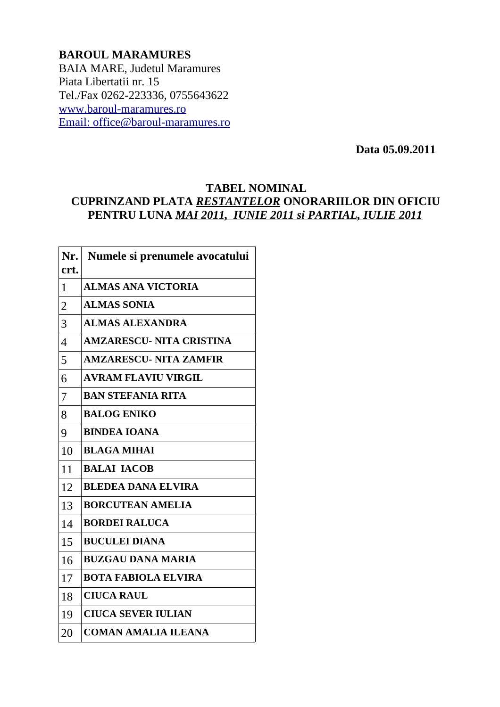## **BAROUL MARAMURES** BAIA MARE, Judetul Maramures Piata Libertatii nr. 15 Tel./Fax 0262-223336, 0755643622 [www.baroul-maramures.ro](http://www.baroul-maramures.ro/)  [Email: office@baroul-maramures.ro](mailto:office@baroul-maramures.ro)

 **Data 05.09.2011**

## **TABEL NOMINAL CUPRINZAND PLATA** *RESTANTELOR* **ONORARIILOR DIN OFICIU PENTRU LUNA** *MAI 2011, IUNIE 2011 si PARTIAL, IULIE 2011*

| Nr.            | Numele si prenumele avocatului  |
|----------------|---------------------------------|
| crt.           |                                 |
| $\mathbf{1}$   | <b>ALMAS ANA VICTORIA</b>       |
| $\overline{2}$ | <b>ALMAS SONIA</b>              |
| 3              | <b>ALMAS ALEXANDRA</b>          |
| $\overline{4}$ | <b>AMZARESCU- NITA CRISTINA</b> |
| 5              | <b>AMZARESCU- NITA ZAMFIR</b>   |
| 6              | <b>AVRAM FLAVIU VIRGIL</b>      |
| 7              | <b>BAN STEFANIA RITA</b>        |
| 8              | <b>BALOG ENIKO</b>              |
| 9              | <b>BINDEA IOANA</b>             |
| 10             | <b>BLAGA MIHAI</b>              |
| 11             | <b>BALAI IACOB</b>              |
| 12             | <b>BLEDEA DANA ELVIRA</b>       |
| 13             | <b>BORCUTEAN AMELIA</b>         |
| 14             | <b>BORDEI RALUCA</b>            |
| 15             | <b>BUCULEI DIANA</b>            |
| 16             | <b>BUZGAU DANA MARIA</b>        |
| 17             | <b>BOTA FABIOLA ELVIRA</b>      |
| 18             | <b>CIUCA RAUL</b>               |
| 19             | <b>CIUCA SEVER IULIAN</b>       |
| 20             | <b>COMAN AMALIA ILEANA</b>      |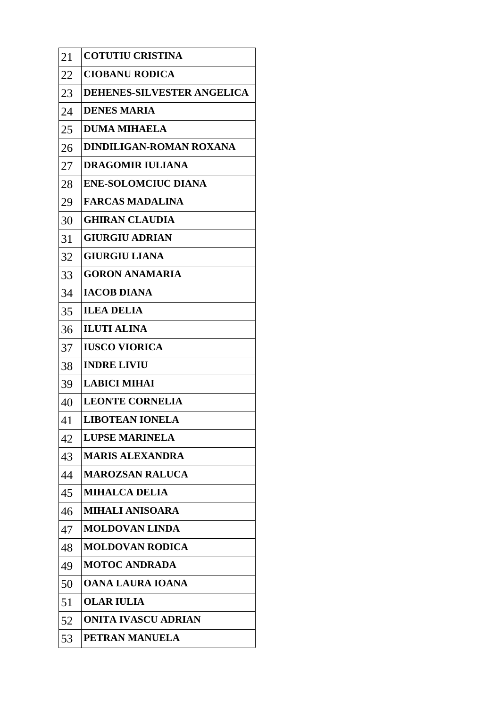| 21 | <b>COTUTIU CRISTINA</b>    |
|----|----------------------------|
| 22 | <b>CIOBANU RODICA</b>      |
| 23 | DEHENES-SILVESTER ANGELICA |
| 24 | <b>DENES MARIA</b>         |
| 25 | <b>DUMA MIHAELA</b>        |
| 26 | DINDILIGAN-ROMAN ROXANA    |
| 27 | <b>DRAGOMIR IULIANA</b>    |
| 28 | <b>ENE-SOLOMCIUC DIANA</b> |
| 29 | <b>FARCAS MADALINA</b>     |
| 30 | <b>GHIRAN CLAUDIA</b>      |
| 31 | <b>GIURGIU ADRIAN</b>      |
| 32 | <b>GIURGIU LIANA</b>       |
| 33 | <b>GORON ANAMARIA</b>      |
| 34 | <b>IACOB DIANA</b>         |
| 35 | <b>ILEA DELIA</b>          |
| 36 | <b>ILUTI ALINA</b>         |
| 37 | <b>IUSCO VIORICA</b>       |
| 38 | <b>INDRE LIVIU</b>         |
| 39 | <b>LABICI MIHAI</b>        |
| 40 | <b>LEONTE CORNELIA</b>     |
| 41 | <b>LIBOTEAN IONELA</b>     |
| 42 | <b>LUPSE MARINELA</b>      |
| 43 | <b>MARIS ALEXANDRA</b>     |
| 44 | <b>MAROZSAN RALUCA</b>     |
| 45 | <b>MIHALCA DELIA</b>       |
| 46 | <b>MIHALI ANISOARA</b>     |
| 47 | <b>MOLDOVAN LINDA</b>      |
| 48 | <b>MOLDOVAN RODICA</b>     |
| 49 | <b>MOTOC ANDRADA</b>       |
| 50 | OANA LAURA IOANA           |
| 51 | <b>OLAR IULIA</b>          |
| 52 | <b>ONITA IVASCU ADRIAN</b> |
| 53 | PETRAN MANUELA             |